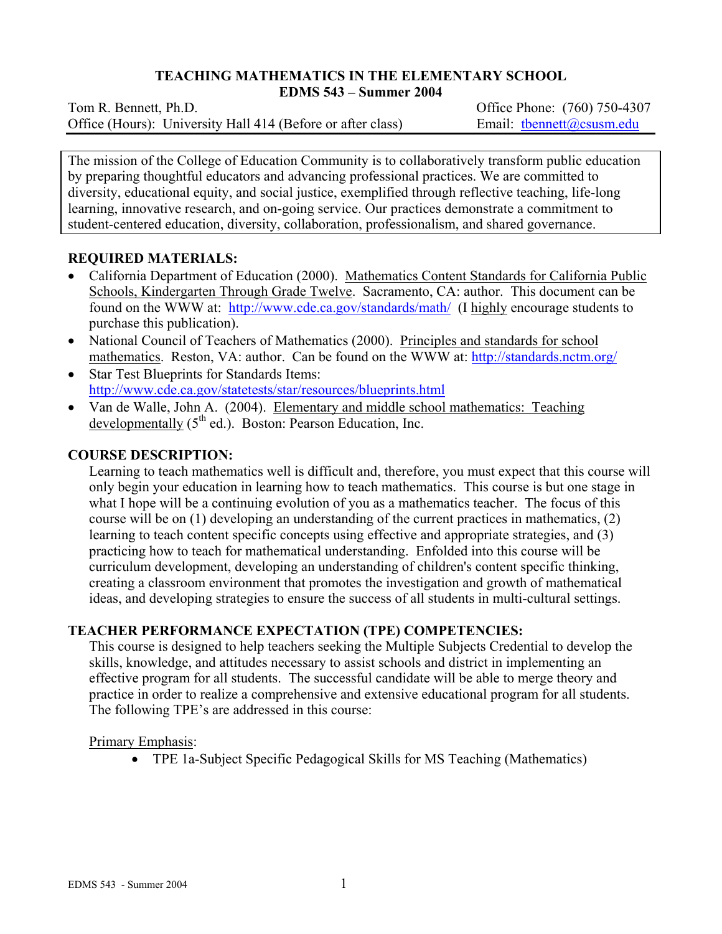## **TEACHING MATHEMATICS IN THE ELEMENTARY SCHOOL**

**EDMS 543 – Summer 2004** 

Tom R. Bennett, Ph.D. *Commercial Contract Contract Contract Contract Contract Contract Contract Contract Contract Contract Contract Contract Contract Contract Contract Contract Contract Contract Contract Contract Contrac* Office (Hours): University Hall 414 (Before or after class) Email: thennett@csusm.edu

The mission of the College of Education Community is to collaboratively transform public education by preparing thoughtful educators and advancing professional practices. We are committed to diversity, educational equity, and social justice, exemplified through reflective teaching, life-long learning, innovative research, and on-going service. Our practices demonstrate a commitment to student-centered education, diversity, collaboration, professionalism, and shared governance.

### **REQUIRED MATERIALS:**

- California Department of Education (2000). Mathematics Content Standards for California Public Schools, Kindergarten Through Grade Twelve. Sacramento, CA: author. This document can be found on the WWW at: http://www.cde.ca.gov/standards/math/ (I highly encourage students to purchase this publication).
- National Council of Teachers of Mathematics (2000). Principles and standards for school mathematics. Reston, VA: author. Can be found on the WWW at: http://standards.nctm.org/
- Star Test Blueprints for Standards Items: http://www.cde.ca.gov/statetests/star/resources/blueprints.html
- Van de Walle, John A. (2004). Elementary and middle school mathematics: Teaching developmentally  $(5<sup>th</sup>$  ed.). Boston: Pearson Education, Inc.

### **COURSE DESCRIPTION:**

Learning to teach mathematics well is difficult and, therefore, you must expect that this course will only begin your education in learning how to teach mathematics. This course is but one stage in what I hope will be a continuing evolution of you as a mathematics teacher. The focus of this course will be on (1) developing an understanding of the current practices in mathematics, (2) learning to teach content specific concepts using effective and appropriate strategies, and (3) practicing how to teach for mathematical understanding. Enfolded into this course will be curriculum development, developing an understanding of children's content specific thinking, creating a classroom environment that promotes the investigation and growth of mathematical ideas, and developing strategies to ensure the success of all students in multi-cultural settings.

#### **TEACHER PERFORMANCE EXPECTATION (TPE) COMPETENCIES:**

This course is designed to help teachers seeking the Multiple Subjects Credential to develop the skills, knowledge, and attitudes necessary to assist schools and district in implementing an effective program for all students. The successful candidate will be able to merge theory and practice in order to realize a comprehensive and extensive educational program for all students. The following TPE's are addressed in this course:

Primary Emphasis:

• TPE 1a-Subject Specific Pedagogical Skills for MS Teaching (Mathematics)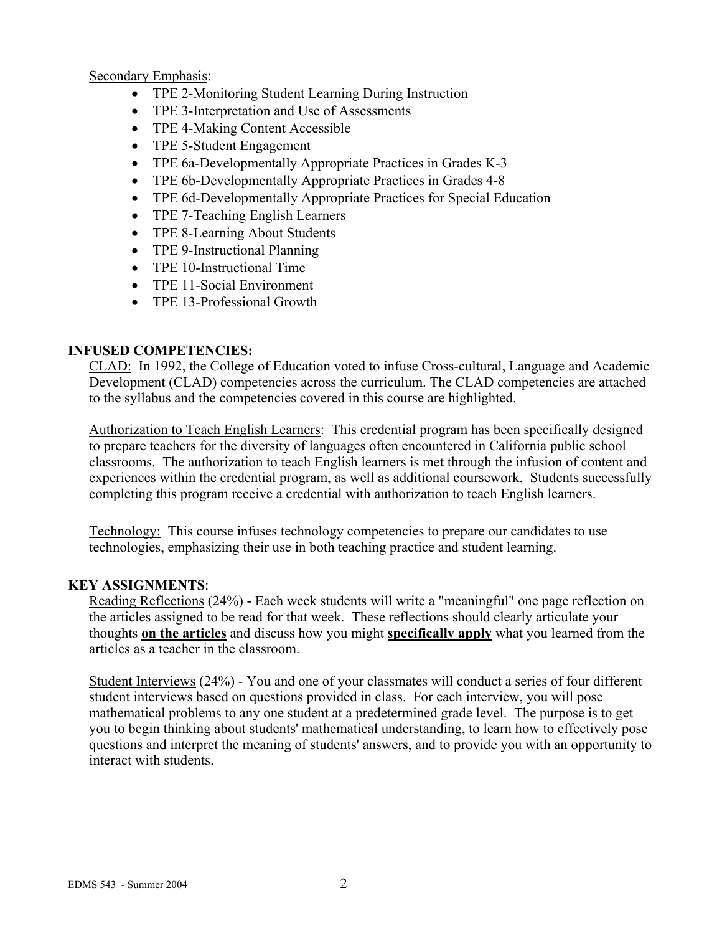Secondary Emphasis:

- TPE 2-Monitoring Student Learning During Instruction
- TPE 3-Interpretation and Use of Assessments
- TPE 4-Making Content Accessible
- TPE 5-Student Engagement
- TPE 6a-Developmentally Appropriate Practices in Grades K-3
- TPE 6b-Developmentally Appropriate Practices in Grades 4-8
- TPE 6d-Developmentally Appropriate Practices for Special Education
- TPE 7-Teaching English Learners
- TPE 8-Learning About Students
- TPE 9-Instructional Planning
- TPE 10-Instructional Time
- TPE 11-Social Environment
- TPE 13-Professional Growth

## **INFUSED COMPETENCIES:**

CLAD: In 1992, the College of Education voted to infuse Cross-cultural, Language and Academic Development (CLAD) competencies across the curriculum. The CLAD competencies are attached to the syllabus and the competencies covered in this course are highlighted.

Authorization to Teach English Learners: This credential program has been specifically designed to prepare teachers for the diversity of languages often encountered in California public school classrooms. The authorization to teach English learners is met through the infusion of content and experiences within the credential program, as well as additional coursework. Students successfully completing this program receive a credential with authorization to teach English learners.

Technology: This course infuses technology competencies to prepare our candidates to use technologies, emphasizing their use in both teaching practice and student learning.

## **KEY ASSIGNMENTS**:

Reading Reflections (24%) - Each week students will write a "meaningful" one page reflection on the articles assigned to be read for that week. These reflections should clearly articulate your thoughts **on the articles** and discuss how you might **specifically apply** what you learned from the articles as a teacher in the classroom.

Student Interviews (24%) - You and one of your classmates will conduct a series of four different student interviews based on questions provided in class. For each interview, you will pose mathematical problems to any one student at a predetermined grade level. The purpose is to get you to begin thinking about students' mathematical understanding, to learn how to effectively pose questions and interpret the meaning of students' answers, and to provide you with an opportunity to interact with students.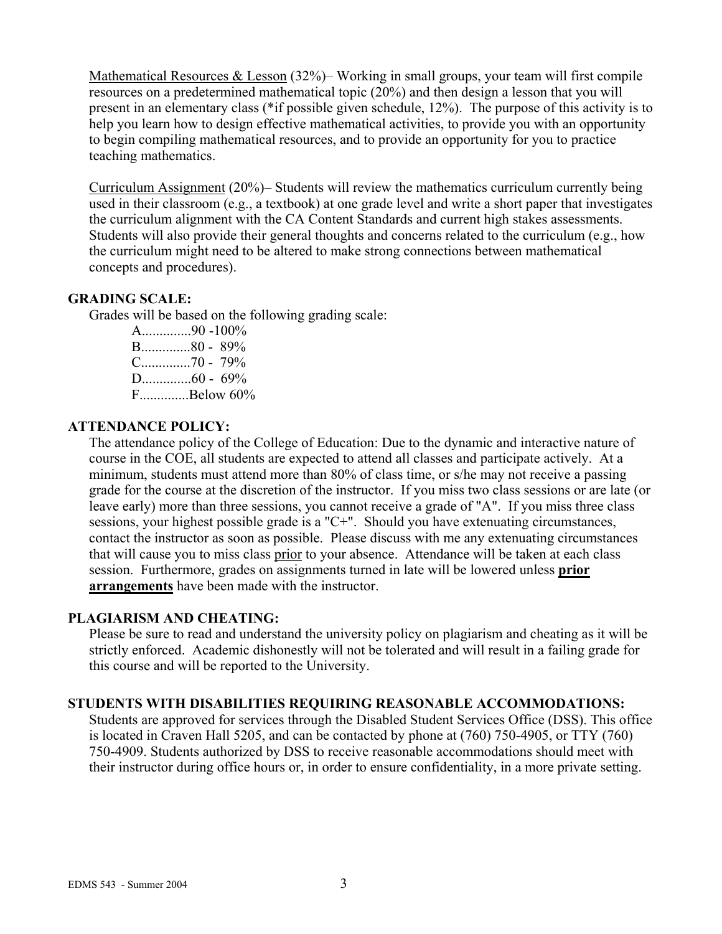Mathematical Resources & Lesson (32%)– Working in small groups, your team will first compile resources on a predetermined mathematical topic (20%) and then design a lesson that you will present in an elementary class (\*if possible given schedule, 12%). The purpose of this activity is to help you learn how to design effective mathematical activities, to provide you with an opportunity to begin compiling mathematical resources, and to provide an opportunity for you to practice teaching mathematics.

Curriculum Assignment (20%)– Students will review the mathematics curriculum currently being used in their classroom (e.g., a textbook) at one grade level and write a short paper that investigates the curriculum alignment with the CA Content Standards and current high stakes assessments. Students will also provide their general thoughts and concerns related to the curriculum (e.g., how the curriculum might need to be altered to make strong connections between mathematical concepts and procedures).

#### **GRADING SCALE:**

Grades will be based on the following grading scale:

A..............90 -100% B..............80 - 89% C..............70 - 79% D..............60 - 69% F..............Below 60%

#### **ATTENDANCE POLICY:**

The attendance policy of the College of Education: Due to the dynamic and interactive nature of course in the COE, all students are expected to attend all classes and participate actively. At a minimum, students must attend more than 80% of class time, or s/he may not receive a passing grade for the course at the discretion of the instructor. If you miss two class sessions or are late (or leave early) more than three sessions, you cannot receive a grade of "A". If you miss three class sessions, your highest possible grade is a "C+". Should you have extenuating circumstances, contact the instructor as soon as possible. Please discuss with me any extenuating circumstances that will cause you to miss class prior to your absence. Attendance will be taken at each class session. Furthermore, grades on assignments turned in late will be lowered unless **prior arrangements** have been made with the instructor.

### **PLAGIARISM AND CHEATING:**

Please be sure to read and understand the university policy on plagiarism and cheating as it will be strictly enforced. Academic dishonestly will not be tolerated and will result in a failing grade for this course and will be reported to the University.

#### **STUDENTS WITH DISABILITIES REQUIRING REASONABLE ACCOMMODATIONS:**

Students are approved for services through the Disabled Student Services Office (DSS). This office is located in Craven Hall 5205, and can be contacted by phone at (760) 750-4905, or TTY (760) 750-4909. Students authorized by DSS to receive reasonable accommodations should meet with their instructor during office hours or, in order to ensure confidentiality, in a more private setting.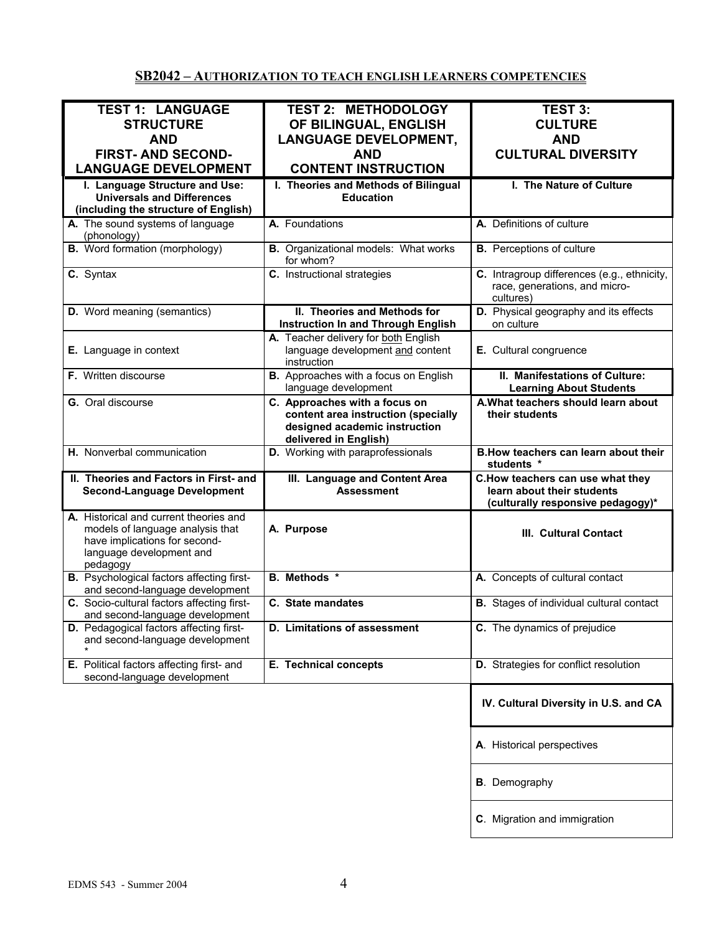# **SB2042 – AUTHORIZATION TO TEACH ENGLISH LEARNERS COMPETENCIES**

| <b>TEST 1: LANGUAGE</b>                          | <b>TEST 2: METHODOLOGY</b>                   | <b>TEST 3:</b>                                  |
|--------------------------------------------------|----------------------------------------------|-------------------------------------------------|
| <b>STRUCTURE</b>                                 | OF BILINGUAL, ENGLISH                        | <b>CULTURE</b>                                  |
|                                                  |                                              |                                                 |
| <b>AND</b>                                       | <b>LANGUAGE DEVELOPMENT,</b>                 | <b>AND</b>                                      |
| <b>FIRST- AND SECOND-</b>                        | <b>AND</b>                                   | <b>CULTURAL DIVERSITY</b>                       |
| <b>LANGUAGE DEVELOPMENT</b>                      | <b>CONTENT INSTRUCTION</b>                   |                                                 |
| I. Language Structure and Use:                   | I. Theories and Methods of Bilingual         | I. The Nature of Culture                        |
|                                                  |                                              |                                                 |
| <b>Universals and Differences</b>                | <b>Education</b>                             |                                                 |
| (including the structure of English)             |                                              |                                                 |
| A. The sound systems of language                 | A. Foundations                               | A. Definitions of culture                       |
| (phonology)                                      |                                              |                                                 |
| <b>B.</b> Word formation (morphology)            | <b>B.</b> Organizational models: What works  | <b>B.</b> Perceptions of culture                |
|                                                  | for whom?                                    |                                                 |
| C. Syntax                                        | C. Instructional strategies                  | C. Intragroup differences (e.g., ethnicity,     |
|                                                  |                                              | race, generations, and micro-                   |
|                                                  |                                              | cultures)                                       |
|                                                  |                                              |                                                 |
| D. Word meaning (semantics)                      | II. Theories and Methods for                 | D. Physical geography and its effects           |
|                                                  | <b>Instruction In and Through English</b>    | on culture                                      |
|                                                  | A. Teacher delivery for both English         |                                                 |
| E. Language in context                           | language development and content             | E. Cultural congruence                          |
|                                                  | instruction                                  |                                                 |
| <b>F.</b> Written discourse                      | <b>B.</b> Approaches with a focus on English | II. Manifestations of Culture:                  |
|                                                  | language development                         | <b>Learning About Students</b>                  |
|                                                  |                                              |                                                 |
| G. Oral discourse                                | C. Approaches with a focus on                | A. What teachers should learn about             |
|                                                  | content area instruction (specially          | their students                                  |
|                                                  | designed academic instruction                |                                                 |
|                                                  | delivered in English)                        |                                                 |
| H. Nonverbal communication                       | D. Working with paraprofessionals            | B. How teachers can learn about their           |
|                                                  |                                              | students *                                      |
| II. Theories and Factors in First- and           | III. Language and Content Area               | C.How teachers can use what they                |
| <b>Second-Language Development</b>               | <b>Assessment</b>                            | learn about their students                      |
|                                                  |                                              | (culturally responsive pedagogy)*               |
|                                                  |                                              |                                                 |
| A. Historical and current theories and           |                                              |                                                 |
| models of language analysis that                 | A. Purpose                                   | III. Cultural Contact                           |
| have implications for second-                    |                                              |                                                 |
| language development and                         |                                              |                                                 |
| pedagogy                                         |                                              |                                                 |
| <b>B.</b> Psychological factors affecting first- | <b>B.</b> Methods *                          | A. Concepts of cultural contact                 |
| and second-language development                  |                                              |                                                 |
| C. Socio-cultural factors affecting first-       | C. State mandates                            | <b>B.</b> Stages of individual cultural contact |
|                                                  |                                              |                                                 |
|                                                  |                                              |                                                 |
| and second-language development                  |                                              |                                                 |
| D. Pedagogical factors affecting first-          | D. Limitations of assessment                 | C. The dynamics of prejudice                    |
| and second-language development                  |                                              |                                                 |
|                                                  |                                              |                                                 |
| E. Political factors affecting first- and        | E. Technical concepts                        | D. Strategies for conflict resolution           |
| second-language development                      |                                              |                                                 |
|                                                  |                                              |                                                 |
|                                                  |                                              | IV. Cultural Diversity in U.S. and CA           |
|                                                  |                                              |                                                 |
|                                                  |                                              |                                                 |
|                                                  |                                              |                                                 |
|                                                  |                                              | A. Historical perspectives                      |
|                                                  |                                              |                                                 |
|                                                  |                                              |                                                 |
|                                                  |                                              | <b>B</b> . Demography                           |
|                                                  |                                              |                                                 |
|                                                  |                                              |                                                 |
|                                                  |                                              | C. Migration and immigration                    |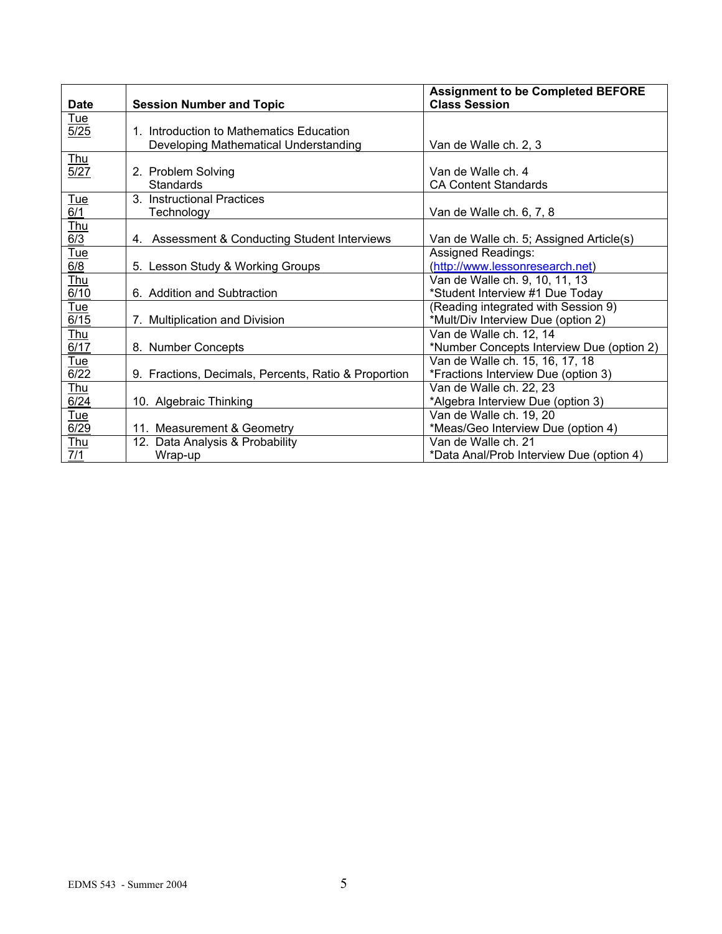| <b>Date</b>             | <b>Session Number and Topic</b>                      | <b>Assignment to be Completed BEFORE</b><br><b>Class Session</b> |
|-------------------------|------------------------------------------------------|------------------------------------------------------------------|
| <u>Tue</u>              |                                                      |                                                                  |
| 5/25                    | 1. Introduction to Mathematics Education             |                                                                  |
|                         | Developing Mathematical Understanding                | Van de Walle ch. 2, 3                                            |
| <u>Thu</u>              |                                                      |                                                                  |
| 5/27                    | 2. Problem Solving                                   | Van de Walle ch. 4                                               |
|                         | Standards                                            | <b>CA Content Standards</b>                                      |
| $\frac{Tue}{6/1}$       | 3. Instructional Practices                           |                                                                  |
|                         | Technology                                           | Van de Walle ch. 6, 7, 8                                         |
| $rac{\text{Thus}}{6/3}$ |                                                      |                                                                  |
|                         | 4. Assessment & Conducting Student Interviews        | Van de Walle ch. 5; Assigned Article(s)                          |
| <u>Tue</u>              |                                                      | Assigned Readings:                                               |
| 6/8                     | 5. Lesson Study & Working Groups                     | (http://www.lessonresearch.net)                                  |
| <u>Thu</u>              |                                                      | Van de Walle ch. 9, 10, 11, 13                                   |
| 6/10                    | 6. Addition and Subtraction                          | *Student Interview #1 Due Today                                  |
| <u>Tue</u>              |                                                      | (Reading integrated with Session 9)                              |
| 6/15                    | 7. Multiplication and Division                       | *Mult/Div Interview Due (option 2)                               |
| <u>Thu</u>              |                                                      | Van de Walle ch. 12, 14                                          |
| 6/17                    | 8. Number Concepts                                   | *Number Concepts Interview Due (option 2)                        |
| <u>Tue</u>              |                                                      | Van de Walle ch. 15, 16, 17, 18                                  |
| 6/22                    | 9. Fractions, Decimals, Percents, Ratio & Proportion | *Fractions Interview Due (option 3)                              |
| <u>Thu</u>              |                                                      | Van de Walle ch. 22, 23                                          |
| 6/24                    | 10. Algebraic Thinking                               | *Algebra Interview Due (option 3)                                |
| Tue                     |                                                      | Van de Walle ch. 19, 20                                          |
| 6/29                    | 11. Measurement & Geometry                           | *Meas/Geo Interview Due (option 4)                               |
| <b>Thu</b>              | 12. Data Analysis & Probability                      | Van de Walle ch. 21                                              |
| 7/1                     | Wrap-up                                              | *Data Anal/Prob Interview Due (option 4)                         |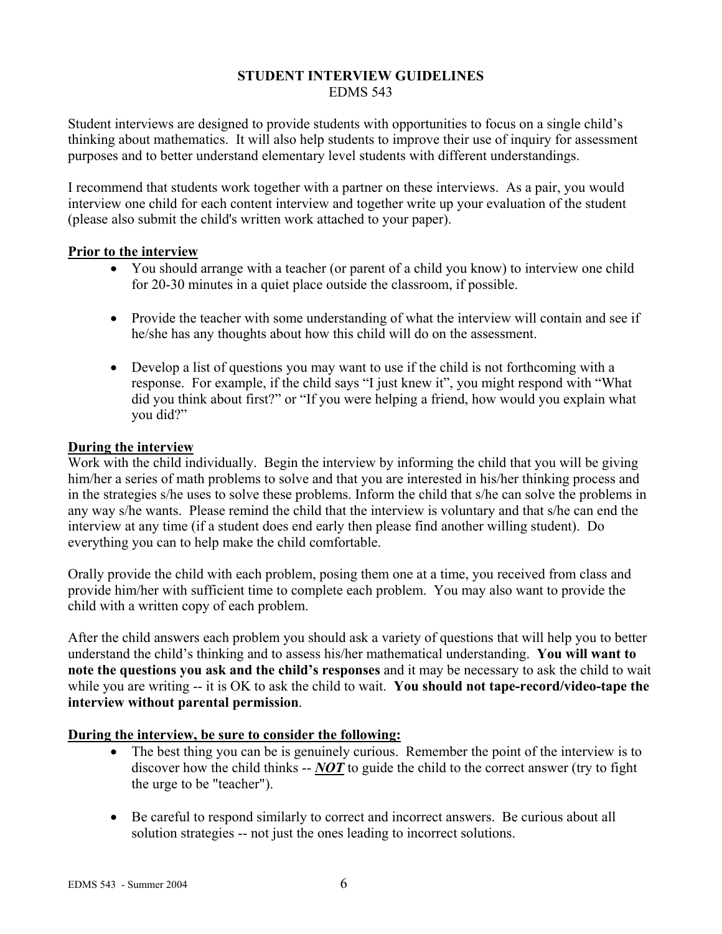#### **STUDENT INTERVIEW GUIDELINES**  EDMS 543

Student interviews are designed to provide students with opportunities to focus on a single child's thinking about mathematics. It will also help students to improve their use of inquiry for assessment purposes and to better understand elementary level students with different understandings.

I recommend that students work together with a partner on these interviews. As a pair, you would interview one child for each content interview and together write up your evaluation of the student (please also submit the child's written work attached to your paper).

### **Prior to the interview**

- You should arrange with a teacher (or parent of a child you know) to interview one child for 20-30 minutes in a quiet place outside the classroom, if possible.
- Provide the teacher with some understanding of what the interview will contain and see if he/she has any thoughts about how this child will do on the assessment.
- Develop a list of questions you may want to use if the child is not forthcoming with a response. For example, if the child says "I just knew it", you might respond with "What did you think about first?" or "If you were helping a friend, how would you explain what you did?"

### **During the interview**

Work with the child individually. Begin the interview by informing the child that you will be giving him/her a series of math problems to solve and that you are interested in his/her thinking process and in the strategies s/he uses to solve these problems. Inform the child that s/he can solve the problems in any way s/he wants. Please remind the child that the interview is voluntary and that s/he can end the interview at any time (if a student does end early then please find another willing student). Do everything you can to help make the child comfortable.

Orally provide the child with each problem, posing them one at a time, you received from class and provide him/her with sufficient time to complete each problem. You may also want to provide the child with a written copy of each problem.

After the child answers each problem you should ask a variety of questions that will help you to better understand the child's thinking and to assess his/her mathematical understanding. **You will want to note the questions you ask and the child's responses** and it may be necessary to ask the child to wait while you are writing -- it is OK to ask the child to wait. **You should not tape-record/video-tape the interview without parental permission**.

## **During the interview, be sure to consider the following:**

- The best thing you can be is genuinely curious. Remember the point of the interview is to discover how the child thinks -- *NOT* to guide the child to the correct answer (try to fight the urge to be "teacher").
- Be careful to respond similarly to correct and incorrect answers. Be curious about all solution strategies -- not just the ones leading to incorrect solutions.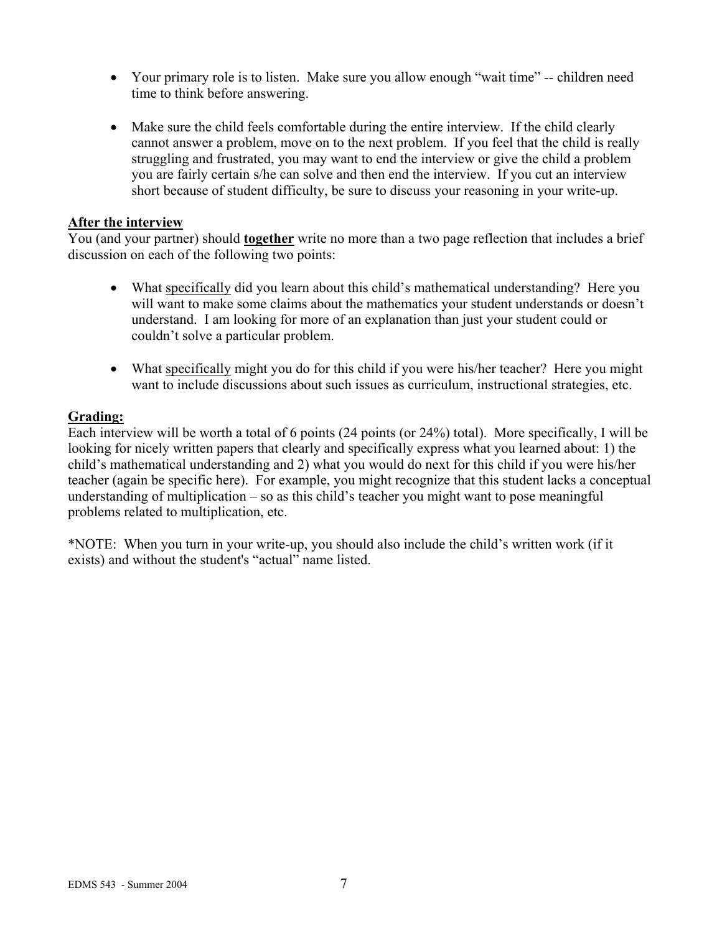- Your primary role is to listen. Make sure you allow enough "wait time" -- children need time to think before answering.
- Make sure the child feels comfortable during the entire interview. If the child clearly cannot answer a problem, move on to the next problem. If you feel that the child is really struggling and frustrated, you may want to end the interview or give the child a problem you are fairly certain s/he can solve and then end the interview. If you cut an interview short because of student difficulty, be sure to discuss your reasoning in your write-up.

#### **After the interview**

You (and your partner) should **together** write no more than a two page reflection that includes a brief discussion on each of the following two points:

- What specifically did you learn about this child's mathematical understanding? Here you will want to make some claims about the mathematics your student understands or doesn't understand. I am looking for more of an explanation than just your student could or couldn't solve a particular problem.
- What specifically might you do for this child if you were his/her teacher? Here you might want to include discussions about such issues as curriculum, instructional strategies, etc.

#### **Grading:**

Each interview will be worth a total of 6 points (24 points (or 24%) total). More specifically, I will be looking for nicely written papers that clearly and specifically express what you learned about: 1) the child's mathematical understanding and 2) what you would do next for this child if you were his/her teacher (again be specific here). For example, you might recognize that this student lacks a conceptual understanding of multiplication – so as this child's teacher you might want to pose meaningful problems related to multiplication, etc.

\*NOTE: When you turn in your write-up, you should also include the child's written work (if it exists) and without the student's "actual" name listed.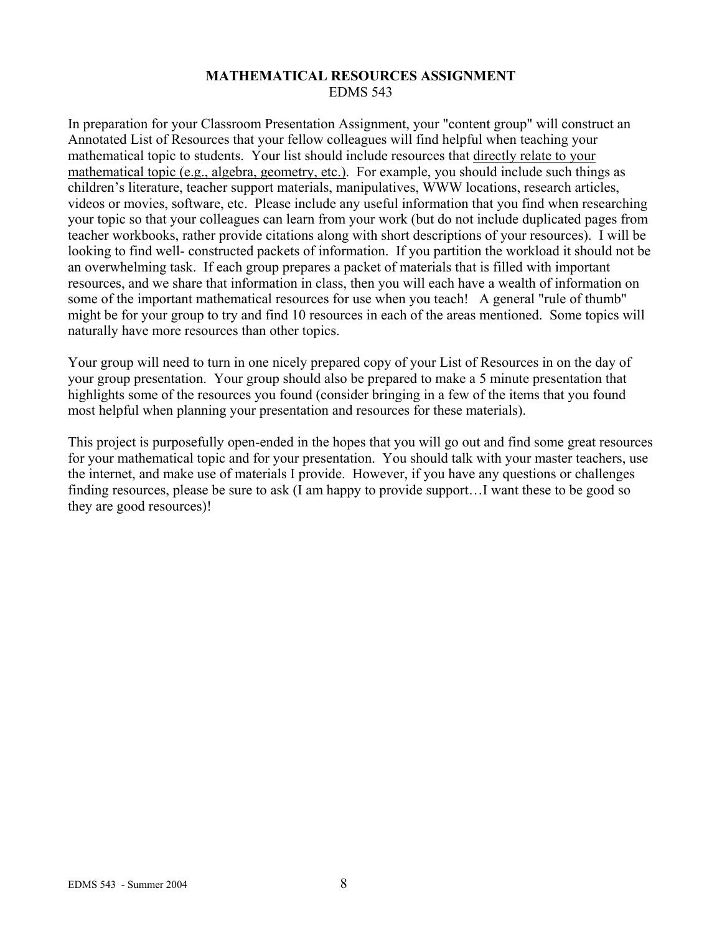#### **MATHEMATICAL RESOURCES ASSIGNMENT**  EDMS 543

In preparation for your Classroom Presentation Assignment, your "content group" will construct an Annotated List of Resources that your fellow colleagues will find helpful when teaching your mathematical topic to students. Your list should include resources that directly relate to your mathematical topic (e.g., algebra, geometry, etc.). For example, you should include such things as children's literature, teacher support materials, manipulatives, WWW locations, research articles, videos or movies, software, etc. Please include any useful information that you find when researching your topic so that your colleagues can learn from your work (but do not include duplicated pages from teacher workbooks, rather provide citations along with short descriptions of your resources). I will be looking to find well- constructed packets of information. If you partition the workload it should not be an overwhelming task. If each group prepares a packet of materials that is filled with important resources, and we share that information in class, then you will each have a wealth of information on some of the important mathematical resources for use when you teach! A general "rule of thumb" might be for your group to try and find 10 resources in each of the areas mentioned. Some topics will naturally have more resources than other topics.

Your group will need to turn in one nicely prepared copy of your List of Resources in on the day of your group presentation. Your group should also be prepared to make a 5 minute presentation that highlights some of the resources you found (consider bringing in a few of the items that you found most helpful when planning your presentation and resources for these materials).

This project is purposefully open-ended in the hopes that you will go out and find some great resources for your mathematical topic and for your presentation. You should talk with your master teachers, use the internet, and make use of materials I provide. However, if you have any questions or challenges finding resources, please be sure to ask (I am happy to provide support…I want these to be good so they are good resources)!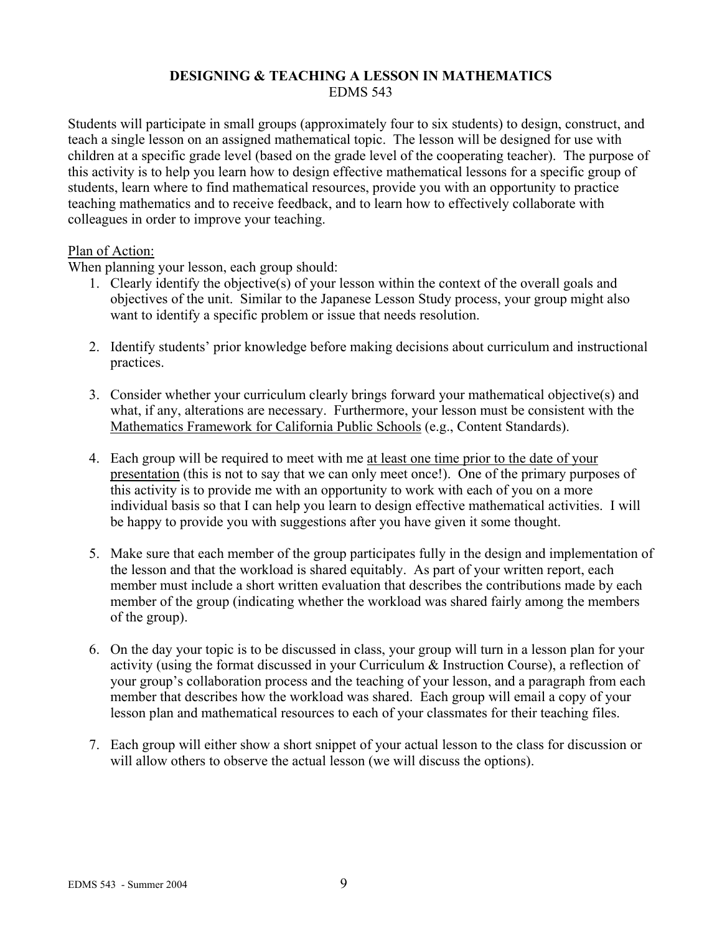### **DESIGNING & TEACHING A LESSON IN MATHEMATICS**  EDMS 543

Students will participate in small groups (approximately four to six students) to design, construct, and teach a single lesson on an assigned mathematical topic. The lesson will be designed for use with children at a specific grade level (based on the grade level of the cooperating teacher). The purpose of this activity is to help you learn how to design effective mathematical lessons for a specific group of students, learn where to find mathematical resources, provide you with an opportunity to practice teaching mathematics and to receive feedback, and to learn how to effectively collaborate with colleagues in order to improve your teaching.

#### Plan of Action:

When planning your lesson, each group should:

- 1. Clearly identify the objective(s) of your lesson within the context of the overall goals and objectives of the unit. Similar to the Japanese Lesson Study process, your group might also want to identify a specific problem or issue that needs resolution.
- 2. Identify students' prior knowledge before making decisions about curriculum and instructional practices.
- 3. Consider whether your curriculum clearly brings forward your mathematical objective(s) and what, if any, alterations are necessary. Furthermore, your lesson must be consistent with the Mathematics Framework for California Public Schools (e.g., Content Standards).
- 4. Each group will be required to meet with me at least one time prior to the date of your presentation (this is not to say that we can only meet once!). One of the primary purposes of this activity is to provide me with an opportunity to work with each of you on a more individual basis so that I can help you learn to design effective mathematical activities. I will be happy to provide you with suggestions after you have given it some thought.
- 5. Make sure that each member of the group participates fully in the design and implementation of the lesson and that the workload is shared equitably. As part of your written report, each member must include a short written evaluation that describes the contributions made by each member of the group (indicating whether the workload was shared fairly among the members of the group).
- 6. On the day your topic is to be discussed in class, your group will turn in a lesson plan for your activity (using the format discussed in your Curriculum & Instruction Course), a reflection of your group's collaboration process and the teaching of your lesson, and a paragraph from each member that describes how the workload was shared. Each group will email a copy of your lesson plan and mathematical resources to each of your classmates for their teaching files.
- 7. Each group will either show a short snippet of your actual lesson to the class for discussion or will allow others to observe the actual lesson (we will discuss the options).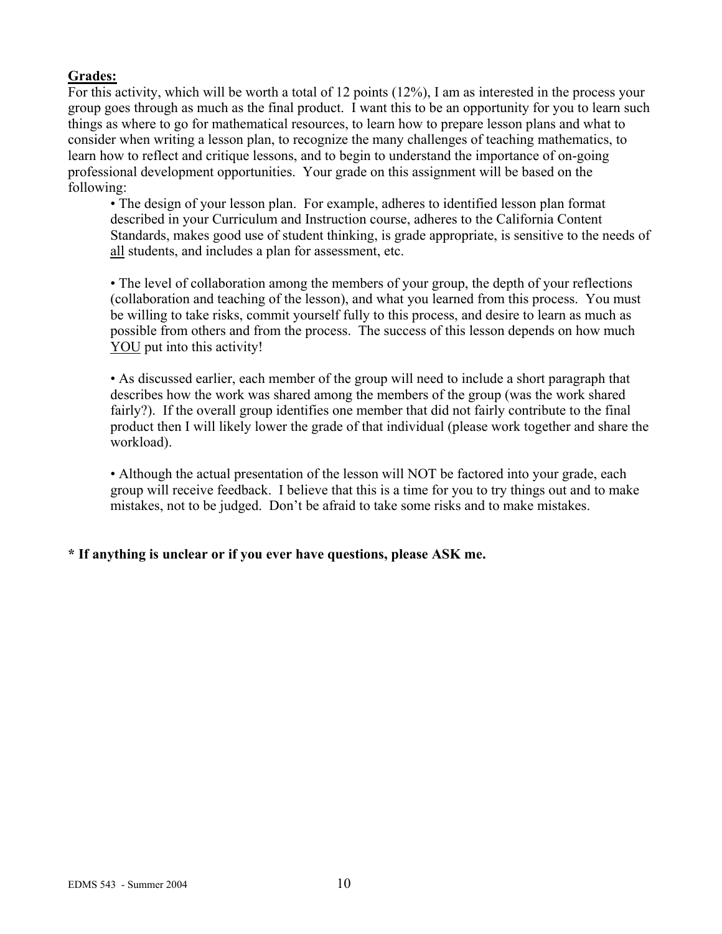## **Grades:**

For this activity, which will be worth a total of 12 points (12%), I am as interested in the process your group goes through as much as the final product. I want this to be an opportunity for you to learn such things as where to go for mathematical resources, to learn how to prepare lesson plans and what to consider when writing a lesson plan, to recognize the many challenges of teaching mathematics, to learn how to reflect and critique lessons, and to begin to understand the importance of on-going professional development opportunities. Your grade on this assignment will be based on the following:

• The design of your lesson plan. For example, adheres to identified lesson plan format described in your Curriculum and Instruction course, adheres to the California Content Standards, makes good use of student thinking, is grade appropriate, is sensitive to the needs of all students, and includes a plan for assessment, etc.

• The level of collaboration among the members of your group, the depth of your reflections (collaboration and teaching of the lesson), and what you learned from this process. You must be willing to take risks, commit yourself fully to this process, and desire to learn as much as possible from others and from the process. The success of this lesson depends on how much YOU put into this activity!

• As discussed earlier, each member of the group will need to include a short paragraph that describes how the work was shared among the members of the group (was the work shared fairly?). If the overall group identifies one member that did not fairly contribute to the final product then I will likely lower the grade of that individual (please work together and share the workload).

• Although the actual presentation of the lesson will NOT be factored into your grade, each group will receive feedback. I believe that this is a time for you to try things out and to make mistakes, not to be judged. Don't be afraid to take some risks and to make mistakes.

## **\* If anything is unclear or if you ever have questions, please ASK me.**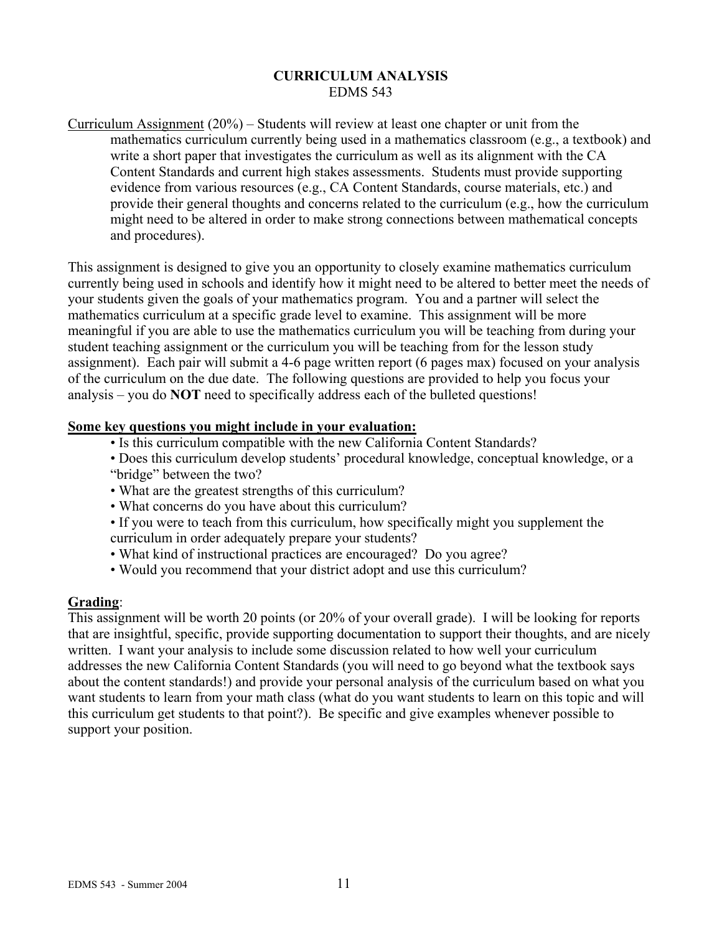#### **CURRICULUM ANALYSIS**  EDMS 543

Curriculum Assignment (20%) – Students will review at least one chapter or unit from the mathematics curriculum currently being used in a mathematics classroom (e.g., a textbook) and write a short paper that investigates the curriculum as well as its alignment with the CA Content Standards and current high stakes assessments. Students must provide supporting evidence from various resources (e.g., CA Content Standards, course materials, etc.) and provide their general thoughts and concerns related to the curriculum (e.g., how the curriculum might need to be altered in order to make strong connections between mathematical concepts and procedures).

This assignment is designed to give you an opportunity to closely examine mathematics curriculum currently being used in schools and identify how it might need to be altered to better meet the needs of your students given the goals of your mathematics program. You and a partner will select the mathematics curriculum at a specific grade level to examine. This assignment will be more meaningful if you are able to use the mathematics curriculum you will be teaching from during your student teaching assignment or the curriculum you will be teaching from for the lesson study assignment). Each pair will submit a 4-6 page written report (6 pages max) focused on your analysis of the curriculum on the due date. The following questions are provided to help you focus your analysis – you do **NOT** need to specifically address each of the bulleted questions!

#### **Some key questions you might include in your evaluation:**

- Is this curriculum compatible with the new California Content Standards?
- Does this curriculum develop students' procedural knowledge, conceptual knowledge, or a "bridge" between the two?
- What are the greatest strengths of this curriculum?
- What concerns do you have about this curriculum?
- If you were to teach from this curriculum, how specifically might you supplement the curriculum in order adequately prepare your students?
- What kind of instructional practices are encouraged? Do you agree?
- Would you recommend that your district adopt and use this curriculum?

#### **Grading**:

This assignment will be worth 20 points (or 20% of your overall grade). I will be looking for reports that are insightful, specific, provide supporting documentation to support their thoughts, and are nicely written. I want your analysis to include some discussion related to how well your curriculum addresses the new California Content Standards (you will need to go beyond what the textbook says about the content standards!) and provide your personal analysis of the curriculum based on what you want students to learn from your math class (what do you want students to learn on this topic and will this curriculum get students to that point?). Be specific and give examples whenever possible to support your position.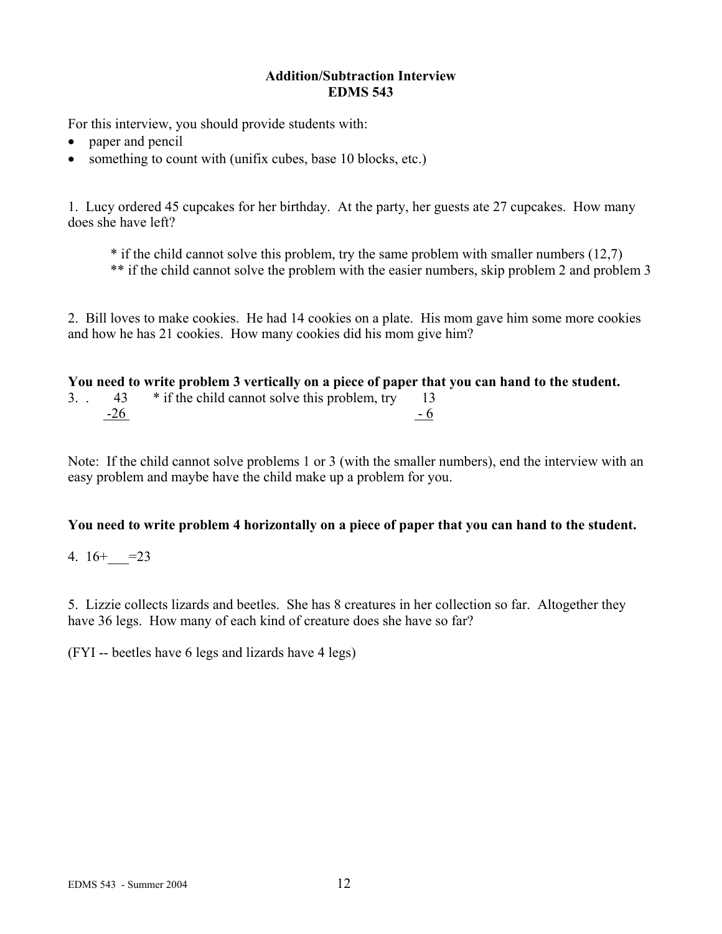### **Addition/Subtraction Interview EDMS 543**

For this interview, you should provide students with:

- paper and pencil
- something to count with (unifix cubes, base 10 blocks, etc.)

1. Lucy ordered 45 cupcakes for her birthday. At the party, her guests ate 27 cupcakes. How many does she have left?

\* if the child cannot solve this problem, try the same problem with smaller numbers (12,7) \*\* if the child cannot solve the problem with the easier numbers, skip problem 2 and problem 3

2. Bill loves to make cookies. He had 14 cookies on a plate. His mom gave him some more cookies and how he has 21 cookies. How many cookies did his mom give him?

|           |       | You need to write problem 3 vertically on a piece of paper that you can hand to the student. |      |
|-----------|-------|----------------------------------------------------------------------------------------------|------|
| $3. \t1.$ | 43    | * if the child cannot solve this problem, try                                                |      |
|           | $-26$ |                                                                                              | $-6$ |

Note: If the child cannot solve problems 1 or 3 (with the smaller numbers), end the interview with an easy problem and maybe have the child make up a problem for you.

## **You need to write problem 4 horizontally on a piece of paper that you can hand to the student.**

4.  $16 + -23$ 

5. Lizzie collects lizards and beetles. She has 8 creatures in her collection so far. Altogether they have 36 legs. How many of each kind of creature does she have so far?

(FYI -- beetles have 6 legs and lizards have 4 legs)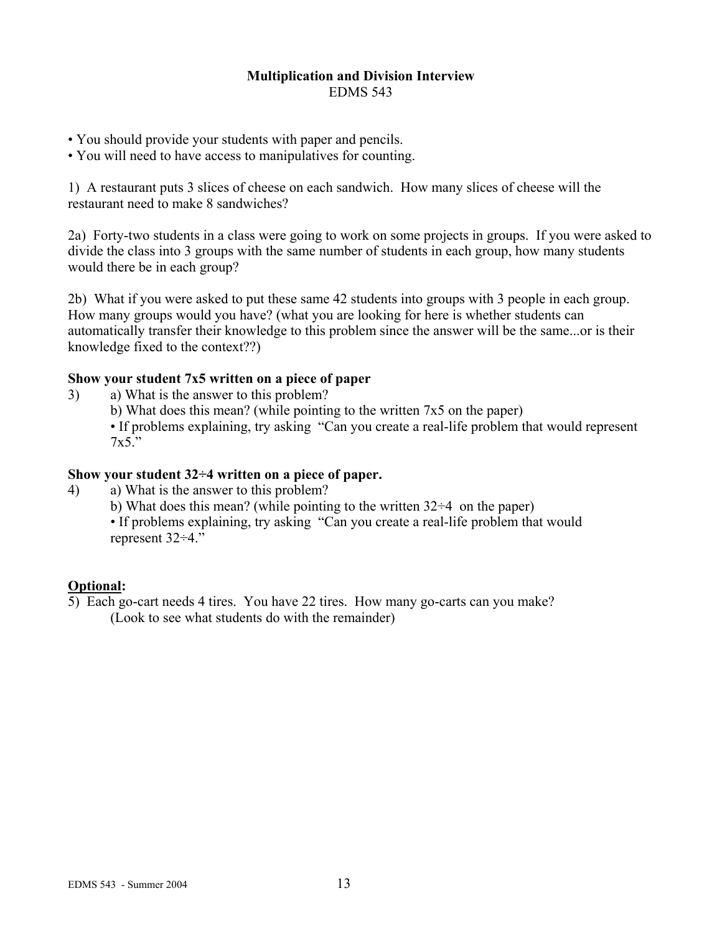#### **Multiplication and Division Interview**  EDMS 543

- You should provide your students with paper and pencils.
- You will need to have access to manipulatives for counting.

1) A restaurant puts 3 slices of cheese on each sandwich. How many slices of cheese will the restaurant need to make 8 sandwiches?

2a) Forty-two students in a class were going to work on some projects in groups. If you were asked to divide the class into 3 groups with the same number of students in each group, how many students would there be in each group?

2b) What if you were asked to put these same 42 students into groups with 3 people in each group. How many groups would you have? (what you are looking for here is whether students can automatically transfer their knowledge to this problem since the answer will be the same...or is their knowledge fixed to the context??)

### **Show your student 7x5 written on a piece of paper**

- 3) a) What is the answer to this problem?
	- b) What does this mean? (while pointing to the written 7x5 on the paper)

• If problems explaining, try asking "Can you create a real-life problem that would represent  $7x5$ <sup>"</sup>

### **Show your student 32÷4 written on a piece of paper.**

- 4) a) What is the answer to this problem?
	- b) What does this mean? (while pointing to the written  $32\div 4$  on the paper)
	- If problems explaining, try asking "Can you create a real-life problem that would represent 32÷4."

## **Optional:**

5) Each go-cart needs 4 tires. You have 22 tires. How many go-carts can you make? (Look to see what students do with the remainder)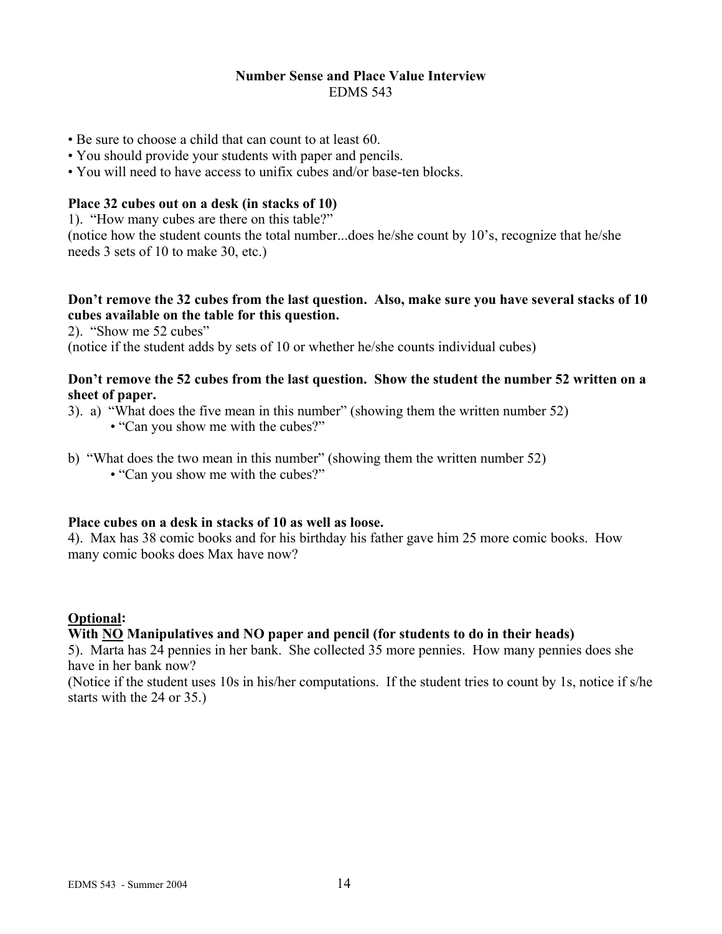#### **Number Sense and Place Value Interview**  EDMS 543

- Be sure to choose a child that can count to at least 60.
- You should provide your students with paper and pencils.
- You will need to have access to unifix cubes and/or base-ten blocks.

### **Place 32 cubes out on a desk (in stacks of 10)**

1). "How many cubes are there on this table?"

(notice how the student counts the total number...does he/she count by 10's, recognize that he/she needs 3 sets of 10 to make 30, etc.)

### **Don't remove the 32 cubes from the last question. Also, make sure you have several stacks of 10 cubes available on the table for this question.**

2). "Show me 52 cubes"

(notice if the student adds by sets of 10 or whether he/she counts individual cubes)

### **Don't remove the 52 cubes from the last question. Show the student the number 52 written on a sheet of paper.**

- 3). a) "What does the five mean in this number" (showing them the written number 52)
	- "Can you show me with the cubes?"
- b) "What does the two mean in this number" (showing them the written number 52)
	- "Can you show me with the cubes?"

#### **Place cubes on a desk in stacks of 10 as well as loose.**

4). Max has 38 comic books and for his birthday his father gave him 25 more comic books. How many comic books does Max have now?

## **Optional:**

#### **With NO Manipulatives and NO paper and pencil (for students to do in their heads)**

5). Marta has 24 pennies in her bank. She collected 35 more pennies. How many pennies does she have in her bank now?

(Notice if the student uses 10s in his/her computations. If the student tries to count by 1s, notice if s/he starts with the 24 or 35.)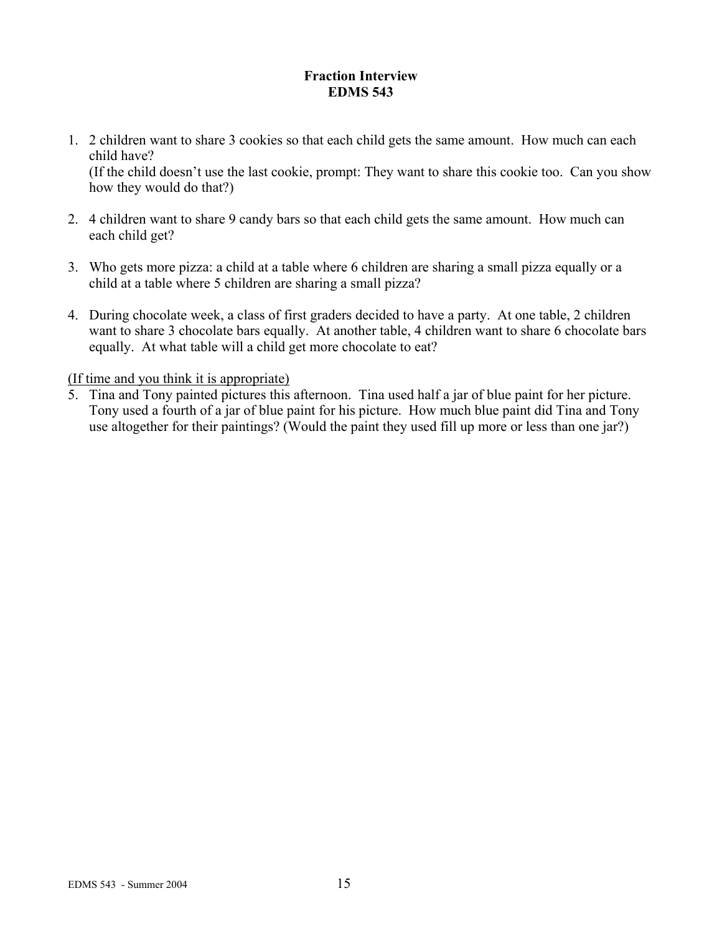## **Fraction Interview EDMS 543**

1. 2 children want to share 3 cookies so that each child gets the same amount. How much can each child have?

 (If the child doesn't use the last cookie, prompt: They want to share this cookie too. Can you show how they would do that?)

- 2. 4 children want to share 9 candy bars so that each child gets the same amount. How much can each child get?
- 3. Who gets more pizza: a child at a table where 6 children are sharing a small pizza equally or a child at a table where 5 children are sharing a small pizza?
- 4. During chocolate week, a class of first graders decided to have a party. At one table, 2 children want to share 3 chocolate bars equally. At another table, 4 children want to share 6 chocolate bars equally. At what table will a child get more chocolate to eat?

(If time and you think it is appropriate)

5. Tina and Tony painted pictures this afternoon. Tina used half a jar of blue paint for her picture. Tony used a fourth of a jar of blue paint for his picture. How much blue paint did Tina and Tony use altogether for their paintings? (Would the paint they used fill up more or less than one jar?)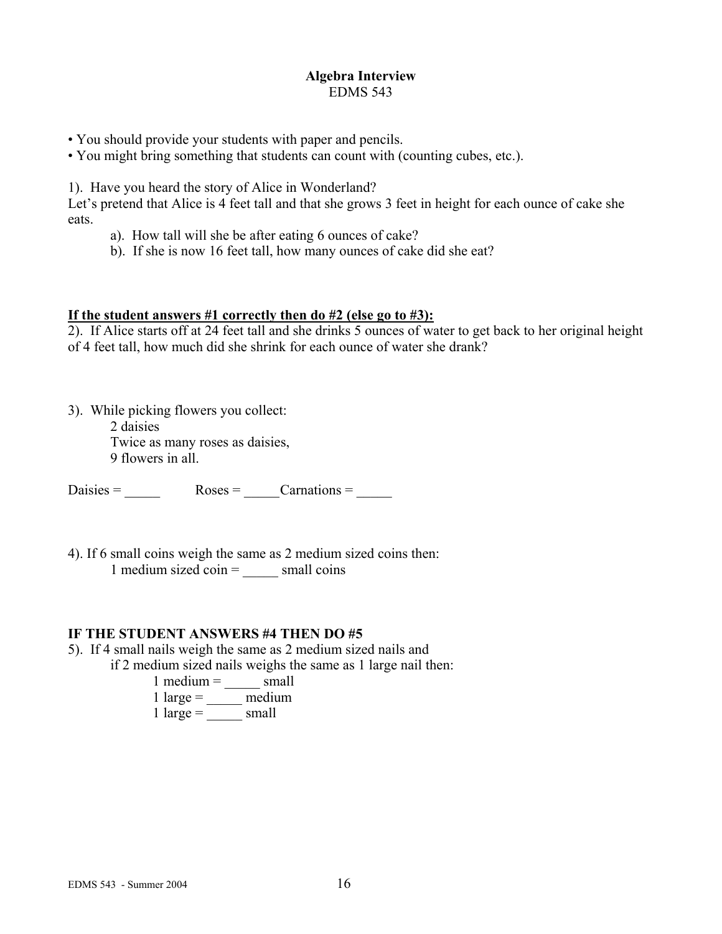#### **Algebra Interview**  EDMS 543

- You should provide your students with paper and pencils.
- You might bring something that students can count with (counting cubes, etc.).

1). Have you heard the story of Alice in Wonderland?

Let's pretend that Alice is 4 feet tall and that she grows 3 feet in height for each ounce of cake she eats.

- a). How tall will she be after eating 6 ounces of cake?
- b). If she is now 16 feet tall, how many ounces of cake did she eat?

#### **If the student answers #1 correctly then do #2 (else go to #3):**

2). If Alice starts off at 24 feet tall and she drinks 5 ounces of water to get back to her original height of 4 feet tall, how much did she shrink for each ounce of water she drank?

3). While picking flowers you collect: 2 daisies Twice as many roses as daisies, 9 flowers in all.

 $Daisies =$   $Roses =$   $Carnations =$ 

4). If 6 small coins weigh the same as 2 medium sized coins then: 1 medium sized  $\overrightarrow{coin}$  = small coins

## **IF THE STUDENT ANSWERS #4 THEN DO #5**

5). If 4 small nails weigh the same as 2 medium sized nails and

if 2 medium sized nails weighs the same as 1 large nail then:

- $1$  medium =  $\qquad \qquad \text{small}$
- $1 \text{ large} = \frac{1}{2}$  medium
- $1 \text{ large} = \frac{1}{2} \text{ small}$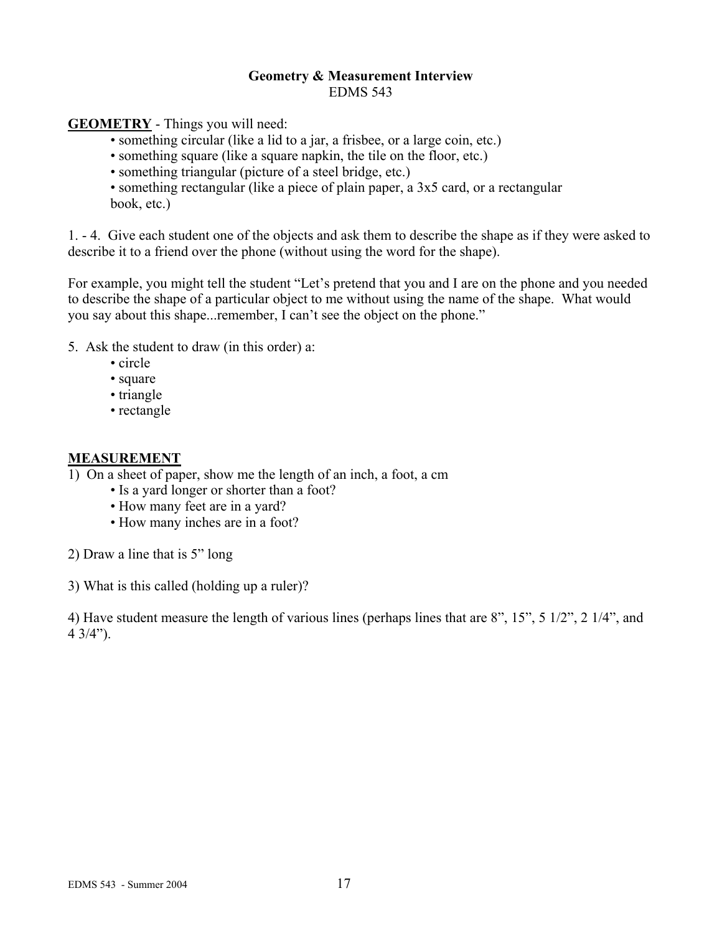#### **Geometry & Measurement Interview**  EDMS 543

**GEOMETRY** - Things you will need:

• something circular (like a lid to a jar, a frisbee, or a large coin, etc.)

• something square (like a square napkin, the tile on the floor, etc.)

• something triangular (picture of a steel bridge, etc.)

 • something rectangular (like a piece of plain paper, a 3x5 card, or a rectangular book, etc.)

1. - 4. Give each student one of the objects and ask them to describe the shape as if they were asked to describe it to a friend over the phone (without using the word for the shape).

For example, you might tell the student "Let's pretend that you and I are on the phone and you needed to describe the shape of a particular object to me without using the name of the shape. What would you say about this shape...remember, I can't see the object on the phone."

5. Ask the student to draw (in this order) a:

- circle
- square
- triangle
- rectangle

### **MEASUREMENT**

- 1) On a sheet of paper, show me the length of an inch, a foot, a cm
	- Is a yard longer or shorter than a foot?
	- How many feet are in a yard?
	- How many inches are in a foot?
- 2) Draw a line that is 5" long

3) What is this called (holding up a ruler)?

4) Have student measure the length of various lines (perhaps lines that are 8", 15", 5 1/2", 2 1/4", and  $4 \frac{3}{4}$ ").